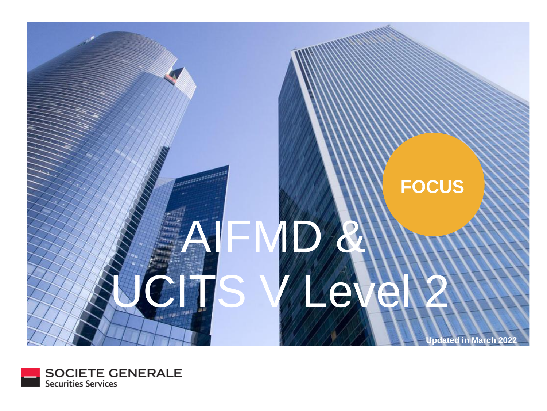

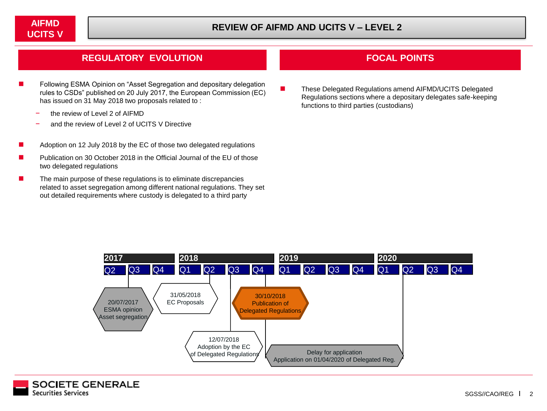## **REGULATORY EVOLUTION FOCAL POINTS**

- Following ESMA Opinion on "Asset Segregation and depositary delegation rules to CSDs" published on 20 July 2017, the European Commission (EC) has issued on 31 May 2018 two proposals related to :
	- the review of Level 2 of AIFMD
	- and the review of Level 2 of UCITS V Directive
- Adoption on 12 July 2018 by the EC of those two delegated regulations
- Publication on 30 October 2018 in the Official Journal of the EU of those two delegated regulations
- The main purpose of these regulations is to eliminate discrepancies related to asset segregation among different national regulations. They set out detailed requirements where custody is delegated to a third party

■ These Delegated Regulations amend AIFMD/UCITS Delegated Regulations sections where a depositary delegates safe-keeping functions to third parties (custodians)